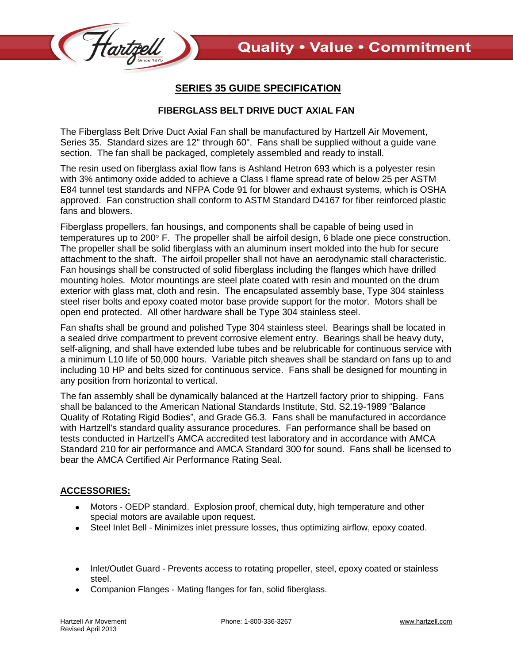

## **SERIES 35 GUIDE SPECIFICATION**

## **FIBERGLASS BELT DRIVE DUCT AXIAL FAN**

The Fiberglass Belt Drive Duct Axial Fan shall be manufactured by Hartzell Air Movement, Series 35. Standard sizes are 12" through 60". Fans shall be supplied without a guide vane section. The fan shall be packaged, completely assembled and ready to install.

The resin used on fiberglass axial flow fans is Ashland Hetron 693 which is a polyester resin with 3% antimony oxide added to achieve a Class I flame spread rate of below 25 per ASTM E84 tunnel test standards and NFPA Code 91 for blower and exhaust systems, which is OSHA approved. Fan construction shall conform to ASTM Standard D4167 for fiber reinforced plastic fans and blowers.

Fiberglass propellers, fan housings, and components shall be capable of being used in temperatures up to  $200^{\circ}$  F. The propeller shall be airfoil design, 6 blade one piece construction. The propeller shall be solid fiberglass with an aluminum insert molded into the hub for secure attachment to the shaft. The airfoil propeller shall not have an aerodynamic stall characteristic. Fan housings shall be constructed of solid fiberglass including the flanges which have drilled mounting holes. Motor mountings are steel plate coated with resin and mounted on the drum exterior with glass mat, cloth and resin. The encapsulated assembly base, Type 304 stainless steel riser bolts and epoxy coated motor base provide support for the motor. Motors shall be open end protected. All other hardware shall be Type 304 stainless steel.

Fan shafts shall be ground and polished Type 304 stainless steel. Bearings shall be located in a sealed drive compartment to prevent corrosive element entry. Bearings shall be heavy duty, self-aligning, and shall have extended lube tubes and be relubricable for continuous service with a minimum L10 life of 50,000 hours. Variable pitch sheaves shall be standard on fans up to and including 10 HP and belts sized for continuous service. Fans shall be designed for mounting in any position from horizontal to vertical.

The fan assembly shall be dynamically balanced at the Hartzell factory prior to shipping. Fans shall be balanced to the American National Standards Institute, Std. S2.19-1989 "Balance Quality of Rotating Rigid Bodies", and Grade G6.3. Fans shall be manufactured in accordance with Hartzell's standard quality assurance procedures. Fan performance shall be based on tests conducted in Hartzell's AMCA accredited test laboratory and in accordance with AMCA Standard 210 for air performance and AMCA Standard 300 for sound. Fans shall be licensed to bear the AMCA Certified Air Performance Rating Seal.

## **ACCESSORIES:**

- Motors OEDP standard. Explosion proof, chemical duty, high temperature and other special motors are available upon request.
- Steel Inlet Bell Minimizes inlet pressure losses, thus optimizing airflow, epoxy coated.
- Inlet/Outlet Guard Prevents access to rotating propeller, steel, epoxy coated or stainless steel.
- Companion Flanges Mating flanges for fan, solid fiberglass.